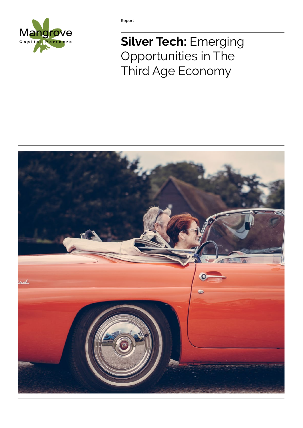

**Report**

# **Silver Tech:** Emerging Opportunities in The Third Age Economy

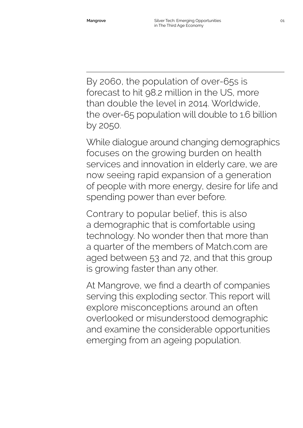By 2060, the population of over-65s is forecast to hit 98.2 million in the US, more than double the level in 2014. Worldwide, the over-65 population will double to 1.6 billion by 2050.

While dialogue around changing demographics focuses on the growing burden on health services and innovation in elderly care, we are now seeing rapid expansion of a generation of people with more energy, desire for life and spending power than ever before.

Contrary to popular belief, this is also a demographic that is comfortable using technology. No wonder then that more than a quarter of the members of Match.com are aged between 53 and 72, and that this group is growing faster than any other.

At Mangrove, we find a dearth of companies serving this exploding sector. This report will explore misconceptions around an often overlooked or misunderstood demographic and examine the considerable opportunities emerging from an ageing population.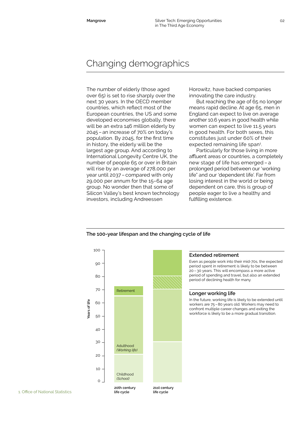# Changing demographics

The number of elderly (those aged over 65) is set to rise sharply over the next 30 years. In the OECD member countries, which reflect most of the European countries, the US and some developed economies globally, there will be an extra 146 million elderly by 2045 – an increase of 70% on today's population. By 2045, for the first time in history, the elderly will be the largest age group. And according to International Longevity Centre UK, the number of people 65 or over in Britain will rise by an average of 278,000 per year until 2037 – compared with only 29,000 per annum for the 15–64 age group. No wonder then that some of Silicon Valley's best known technology investors, including Andreessen

Horowitz, have backed companies innovating the care industry.

But reaching the age of 65 no longer means rapid decline. At age 65, men in England can expect to live on average another 10.6 years in good health while women can expect to live 11.5 years in good health. For both sexes, this constitutes just under 60% of their expected remaining life span<sup>1</sup>.

Particularly for those living in more affluent areas or countries, a completely new stage of life has emerged – a prolonged period between our 'working life" and our 'dependent life'. Far from losing interest in the world or being dependent on care, this is group of people eager to live a healthy and fulfilling existence.

Even as people work into their mid-70s, the expected period spent in retirement is likely to be between 20– 30 years. This will encompass a more active period of spending and travel, but also an extended

In the future, working life is likely to be extended until workers are 75–80 years old. Workers may need to confront multiple career changes and exiting the workforce is likely to be a more gradual transition.

**Extended retirement**

**Longer working life**

period of declining health for many.



#### **The 100-year lifespan and the changing cycle of life**

1. Office of National Statistics

**life cycle**

**life cycle**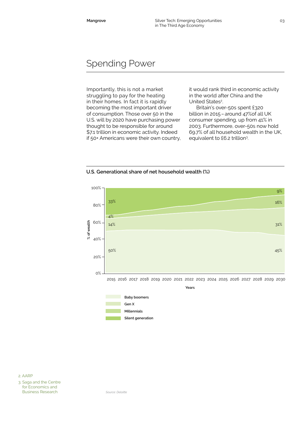## Spending Power

Importantly, this is not a market struggling to pay for the heating in their homes. In fact it is rapidly becoming the most important driver of consumption. Those over 50 in the U.S. will by 2020 have purchasing power thought to be responsible for around \$7.1 trillion in economic activity. Indeed if 50+ Americans were their own country, it would rank third in economic activity in the world after China and the United States<sup>2</sup>. .

Britain's over-50s spent £320 billion in 2015–around 47%of all UK consumer spending, up from 41% in 2003. Furthermore, over-50s now hold 69.7% of all household wealth in the UK, equivalent to £6.2 trillion<sup>3</sup>. .





3. Saga and the Centre for Economics and Business Research

*Source: Deloitte*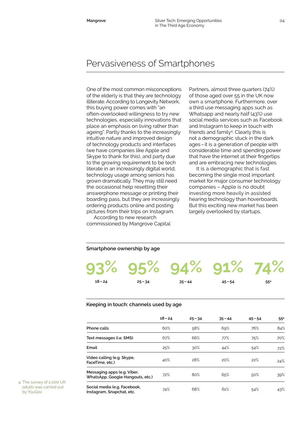## Pervasiveness of Smartphones

One of the most common misconceptions of the elderly is that they are technology illiterate. According to Longevity Network, this buying power comes with "an often-overlooked willingness to try new technologies, especially innovations that place an emphasis on living rather than ageing". Partly thanks to the increasingly intuitive nature and improved design of technology products and interfaces (we have companies like Apple and Skype to thank for this), and party due to the growing requirement to be tech literate in an increasingly digital world, technology usage among seniors has grown dramatically. They may still need the occasional help resetting their answerphone message or printing their boarding pass, but they are increasingly ordering products online and posting pictures from their trips on Instagram.

According to new research commissioned by Mangrove Capital Partners, almost three quarters (74%) of those aged over 55 in the UK now own a smartphone. Furthermore, over a third use messaging apps such as Whatsapp and nearly half (43%) use social media services such as Facebook and Instagram to keep in touch with friends and family<sup>4</sup>. Clearly this is not a demographic stuck in the dark ages–it is a generation of people with considerable time and spending power that have the internet at their fingertips and are embracing new technologies.

It is a demographic that is fast becoming the single most important market for major consumer technology companies – Apple is no doubt investing more heavily in assisted hearing technology than hoverboards. But this exciting new market has been largely overlooked by startups.

#### **Smartphone ownership by age**

|           |           | 93% 95% 94% 91% 74% |           |       |
|-----------|-----------|---------------------|-----------|-------|
| $18 - 24$ | $25 - 34$ | $35 - 44$           | $45 - 54$ | $55+$ |

#### **Keeping in touch: channels used by age**

|                                                                 | $18 - 24$ | $25 - 34$ | $35 - 44$ | $45 - 54$ | $55+$ |
|-----------------------------------------------------------------|-----------|-----------|-----------|-----------|-------|
| Phone calls                                                     | 60%       | 58%       | 69%       | 76%       | 84%   |
| Text messages (i.e. SMS)                                        | 67%       | 66%       | 77%       | 75%       | 70%   |
| Email                                                           | 25%       | 30%       | 44%       | 54%       | 72%   |
| Video calling (e.g. Skype,<br>FaceTime, etc.)                   | 40%       | 28%       | 20%       | 22%       | 24%   |
| Messaging apps (e.g. Viber,<br>WhatsApp, Google Hangouts, etc.) | 72%       | 80%       | 65%       | 50%       | 39%   |
| Social media (e.g. Facebook,<br>Instagram, Snapchat, etc.       | 74%       | 68%       | 61%       | 54%       | 43%   |

4. The survey of 2,000 UK adults was carried out by YouGov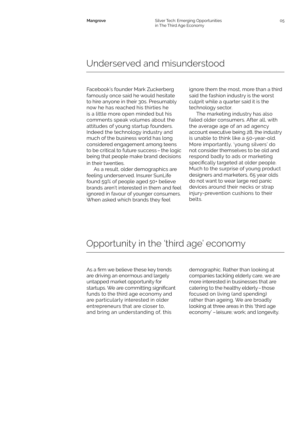### Underserved and misunderstood

Facebook's founder Mark Zuckerberg famously once said he would hesitate to hire anyone in their 30s. Presumably now he has reached his thirties he is a little more open minded but his comments speak volumes about the attitudes of young startup founders. Indeed the technology industry and much of the business world has long considered engagement among teens to be critical to future success–the logic being that people make brand decisions in their twenties.

As a result, older demographics are feeling underserved. Insurer SunLife found 59% of people aged 50+ believe brands aren't interested in them and feel ignored in favour of younger consumers. When asked which brands they feel

ignore them the most, more than a third said the fashion industry is the worst culprit while a quarter said it is the technology sector.

The marketing industry has also failed older consumers. After all, with the average age of an ad agency account executive being 28, the industry is unable to think like a 50-year-old. More importantly, 'young silvers' do not consider themselves to be old and respond badly to ads or marketing specifically targeted at older people. Much to the surprise of young product designers and marketers, 65 year olds do not want to wear large red panic devices around their necks or strap injury-prevention cushions to their belts.

#### Opportunity in the 'third age' economy

As a firm we believe these key trends are driving an enormous and largely untapped market opportunity for startups. We are committing significant funds to the third age economy and are particularly interested in older entrepreneurs that are closer to, and bring an understanding of, this

demographic. Rather than looking at companies tackling elderly care, we are more interested in businesses that are catering to the healthy elderly–those focused on living (and spending) rather than ageing. We are broadly looking at three areas in this 'third age economy' –leisure; work; and longevity.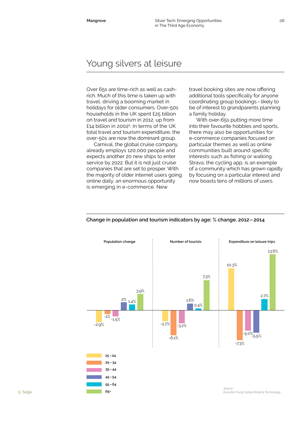### Young silvers at leisure

Over 65s are time-rich as well as cashrich. Much of this time is taken up with travel, driving a booming market in holidays for older consumers. Over-50s households in the UK spent £25 billion on travel and tourism in 2012, up from £14 billion in 20025 . In terms of the UK total travel and tourism expenditure, the over-50s are now the dominant group.

Carnival, the global cruise company, already employs 120,000 people and expects another 20 new ships to enter service by 2022. But it is not just cruise companies that are set to prosper. With the majority of older internet users going online daily, an enormous opportunity is emerging in e-commerce. New

travel booking sites are now offering additional tools specifically for anyone coordinating group bookings–likely to be of interest to grandparents planning a family holiday.

With over-65s putting more time into their favourite hobbies and sports, there may also be opportunities for e-commerce companies focused on particular themes as well as online communities built around specific interests such as fishing or walking. Strava, the cycling app, is an example of a community which has grown rapidly by focusing on a particular interest and now boasts tens of millions of users.



#### **Change in population and tourism indicators by age: % change, 2012–2014**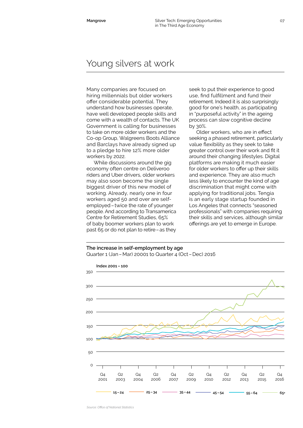#### Young silvers at work

Many companies are focused on hiring millennials but older workers offer considerable potential. They understand how businesses operate, have well developed people skills and come with a wealth of contacts. The UK Government is calling for businesses to take on more older workers and the Co-op Group, Walgreens Boots Alliance and Barclays have already signed up to a pledge to hire 12% more older workers by 2022.

While discussions around the gig economy often centre on Deliveroo riders and Uber drivers, older workers may also soon become the single biggest driver of this new model of working. Already, nearly one in four workers aged 50 and over are selfemployed–twice the rate of younger people. And according to Transamerica Centre for Retirement Studies, 65% of baby boomer workers plan to work past 65 or do not plan to retire–as they

seek to put their experience to good use, find fulfillment and fund their retirement. Indeed it is also surprisingly good for one's health, as participating in "purposeful activity" in the ageing process can slow cognitive decline by 30%.

Older workers, who are in effect seeking a phased retirement, particularly value flexibility as they seek to take greater control over their work and fit it around their changing lifestyles. Digital platforms are making it much easier for older workers to offer up their skills and experience. They are also much less likely to encounter the kind of age discrimination that might come with applying for traditional jobs. Tengia is an early stage startup founded in Los Angeles that connects "seasoned professionals" with companies requiring their skills and services, although similar offerings are yet to emerge in Europe.

#### **The increase in self-employment by age** Quarter 1 (Jan–Mar) 20001 to Quarter 4 (Oct–Dec) 2016

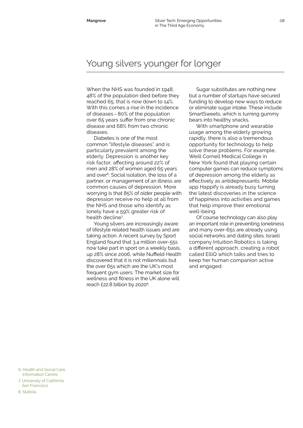### Young silvers younger for longer

When the NHS was founded in 1948, 48% of the population died before they reached 65; that is now down to 14%. With this comes a rise in the incidence of diseases –80% of the population over 65 years suffer from one chronic disease and 68% from two chronic diseases.

Diabetes is one of the most common "lifestyle diseases" and is particularly prevalent among the elderly. Depression is another key risk factor, affecting around 22% of men and 28% of women aged 65 years and over<sup>6</sup>. Social isolation, the loss of a partner, or management of an illness are common causes of depression. More worrying is that 85% of older people with depression receive no help at all from the NHS and those who identify as lonely have a 59% greater risk of health decline7 .

Young silvers are increasingly aware of lifestyle related health issues and are taking action. A recent survey by Sport England found that 3.4 million over-55s now take part in sport on a weekly basis, up 28% since 2006, while Nuffield Health discovered that it is not millennials but the over 65s which are the UK's most frequent gym users. The market size for wellness and fitness in the UK alone will reach  $£22.8$  billion by  $2020^8$ .

Sugar substitutes are nothing new but a number of startups have secured funding to develop new ways to reduce or eliminate sugar intake. These include SmartSweets, which is turning gummy bears into healthy snacks.

With smartphone and wearable usage among the elderly growing rapidly, there is also a tremendous opportunity for technology to help solve these problems. For example, Weill Cornell Medical College in New York found that playing certain computer games can reduce symptoms of depression among the elderly as effectively as antidepressants. Mobile app Happify is already busy turning the latest discoveries in the science of happiness into activities and games that help improve their emotional well-being.

Of course technology can also play an important role in preventing loneliness and many over-65s are already using social networks and dating sites. Israeli company Intuition Robotics is taking a different approach, creating a robot called ElliQ which talks and tries to keep her human companion active and engaged.

6. Health and Social Care Information Centre

7. University of California San Francisco

8. Statista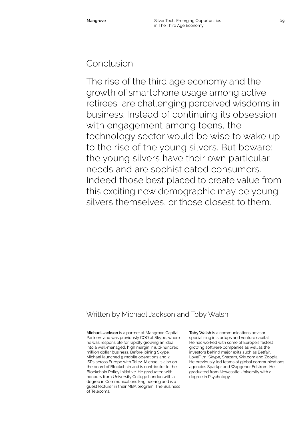### Conclusion

The rise of the third age economy and the growth of smartphone usage among active retirees are challenging perceived wisdoms in business. Instead of continuing its obsession with engagement among teens, the technology sector would be wise to wake up to the rise of the young silvers. But beware: the young silvers have their own particular needs and are sophisticated consumers. Indeed those best placed to create value from this exciting new demographic may be young silvers themselves, or those closest to them.

#### Written by Michael Jackson and Toby Walsh

**Michael Jackson** is a partner at Mangrove Capital Partners and was previously COO at Skype, where he was responsible for rapidly growing an idea into a well-managed, high margin, multi-hundred million dollar business. Before joining Skype, Michael launched 9 mobile operations and 2 ISPs across Europe with Tele2. Michael is also on the board of Blockchain and is contributor to the Blockchain Policy Initiative. He graduated with honours from University College London with a degree in Communications Engineering and is a guest lecturer in their MBA program: The Business of Telecoms.

**Toby Walsh** is a communications advisor specialising in startups and venture capital. He has worked with some of Europe's fastest growing software companies as well as the investors behind major exits such as Betfair, LoveFilm, Skype, Shazam, Wix.com and Zoopla. He previously led teams at global communications agencies Sparkpr and Waggener Edstrom. He graduated from Newcastle University with a degree in Psychology.